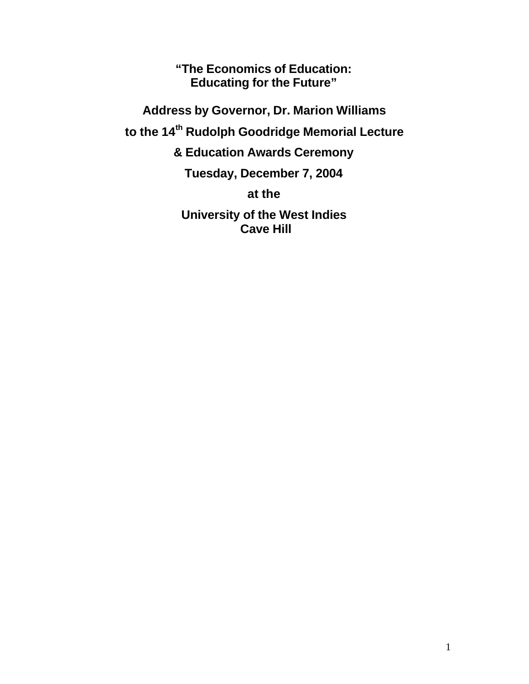**"The Economics of Education: Educating for the Future"**

**Address by Governor, Dr. Marion Williams to the 14th Rudolph Goodridge Memorial Lecture & Education Awards Ceremony Tuesday, December 7, 2004**

**at the**

**University of the West Indies Cave Hill**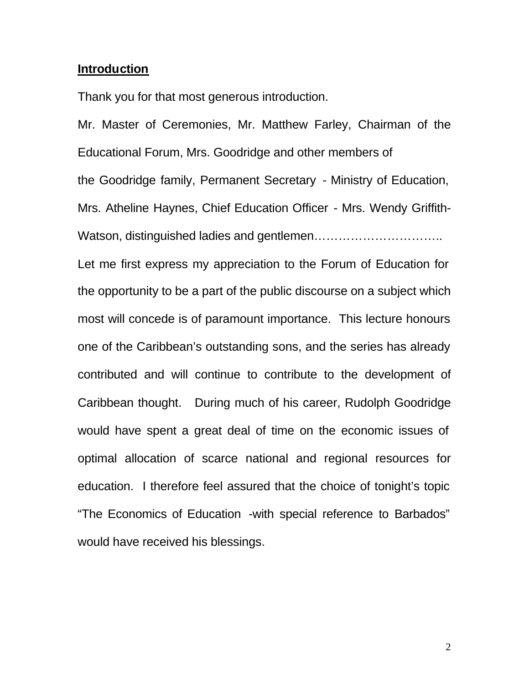# **Introduction**

Thank you for that most generous introduction.

Mr. Master of Ceremonies, Mr. Matthew Farley, Chairman of the Educational Forum, Mrs. Goodridge and other members of the Goodridge family, Permanent Secretary - Ministry of Education, Mrs. Atheline Haynes, Chief Education Officer - Mrs. Wendy Griffith-Watson, distinguished ladies and gentlemen………………………….. Let me first express my appreciation to the Forum of Education for the opportunity to be a part of the public discourse on a subject which most will concede is of paramount importance. This lecture honours one of the Caribbean's outstanding sons, and the series has already contributed and will continue to contribute to the development of Caribbean thought. During much of his career, Rudolph Goodridge would have spent a great deal of time on the economic issues of optimal allocation of scarce national and regional resources for education. I therefore feel assured that the choice of tonight's topic "The Economics of Education -with special reference to Barbados" would have received his blessings.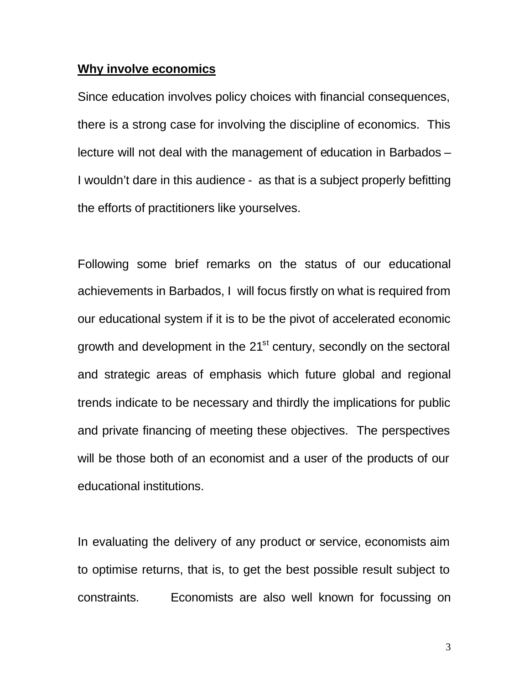## **Why involve economics**

Since education involves policy choices with financial consequences, there is a strong case for involving the discipline of economics. This lecture will not deal with the management of education in Barbados – I wouldn't dare in this audience - as that is a subject properly befitting the efforts of practitioners like yourselves.

Following some brief remarks on the status of our educational achievements in Barbados, I will focus firstly on what is required from our educational system if it is to be the pivot of accelerated economic growth and development in the 21<sup>st</sup> century, secondly on the sectoral and strategic areas of emphasis which future global and regional trends indicate to be necessary and thirdly the implications for public and private financing of meeting these objectives. The perspectives will be those both of an economist and a user of the products of our educational institutions.

In evaluating the delivery of any product or service, economists aim to optimise returns, that is, to get the best possible result subject to constraints. Economists are also well known for focussing on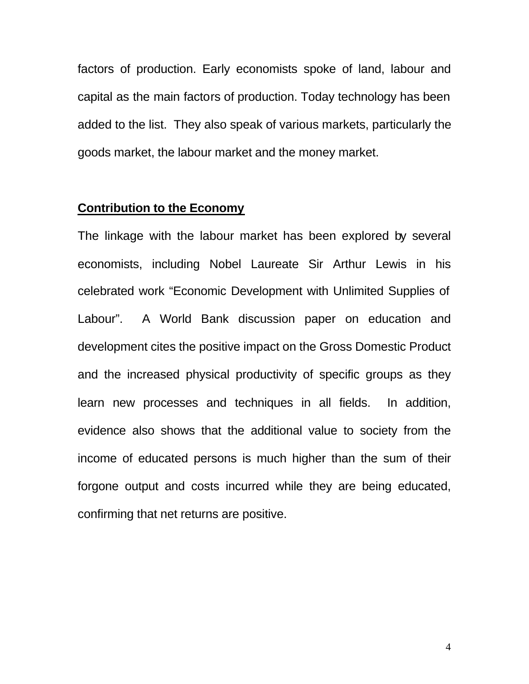factors of production. Early economists spoke of land, labour and capital as the main factors of production. Today technology has been added to the list. They also speak of various markets, particularly the goods market, the labour market and the money market.

# **Contribution to the Economy**

The linkage with the labour market has been explored by several economists, including Nobel Laureate Sir Arthur Lewis in his celebrated work "Economic Development with Unlimited Supplies of Labour". A World Bank discussion paper on education and development cites the positive impact on the Gross Domestic Product and the increased physical productivity of specific groups as they learn new processes and techniques in all fields. In addition, evidence also shows that the additional value to society from the income of educated persons is much higher than the sum of their forgone output and costs incurred while they are being educated, confirming that net returns are positive.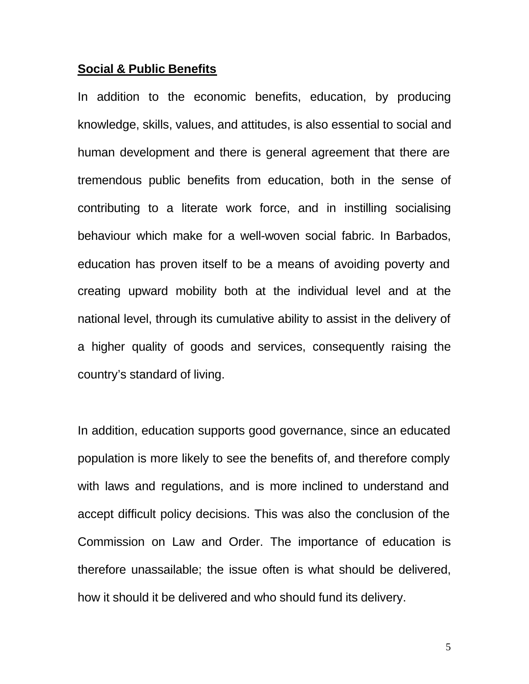#### **Social & Public Benefits**

In addition to the economic benefits, education, by producing knowledge, skills, values, and attitudes, is also essential to social and human development and there is general agreement that there are tremendous public benefits from education, both in the sense of contributing to a literate work force, and in instilling socialising behaviour which make for a well-woven social fabric. In Barbados, education has proven itself to be a means of avoiding poverty and creating upward mobility both at the individual level and at the national level, through its cumulative ability to assist in the delivery of a higher quality of goods and services, consequently raising the country's standard of living.

In addition, education supports good governance, since an educated population is more likely to see the benefits of, and therefore comply with laws and regulations, and is more inclined to understand and accept difficult policy decisions. This was also the conclusion of the Commission on Law and Order. The importance of education is therefore unassailable; the issue often is what should be delivered, how it should it be delivered and who should fund its delivery.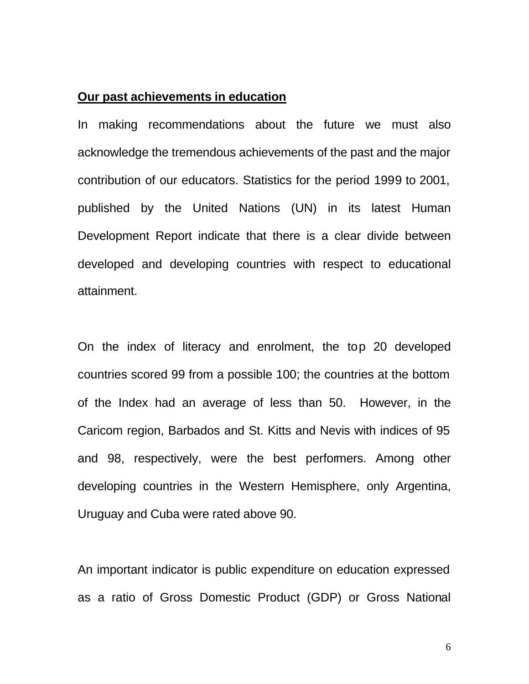# **Our past achievements in education**

In making recommendations about the future we must also acknowledge the tremendous achievements of the past and the major contribution of our educators. Statistics for the period 1999 to 2001, published by the United Nations (UN) in its latest Human Development Report indicate that there is a clear divide between developed and developing countries with respect to educational attainment.

On the index of literacy and enrolment, the top 20 developed countries scored 99 from a possible 100; the countries at the bottom of the Index had an average of less than 50. However, in the Caricom region, Barbados and St. Kitts and Nevis with indices of 95 and 98, respectively, were the best performers. Among other developing countries in the Western Hemisphere, only Argentina, Uruguay and Cuba were rated above 90.

An important indicator is public expenditure on education expressed as a ratio of Gross Domestic Product (GDP) or Gross National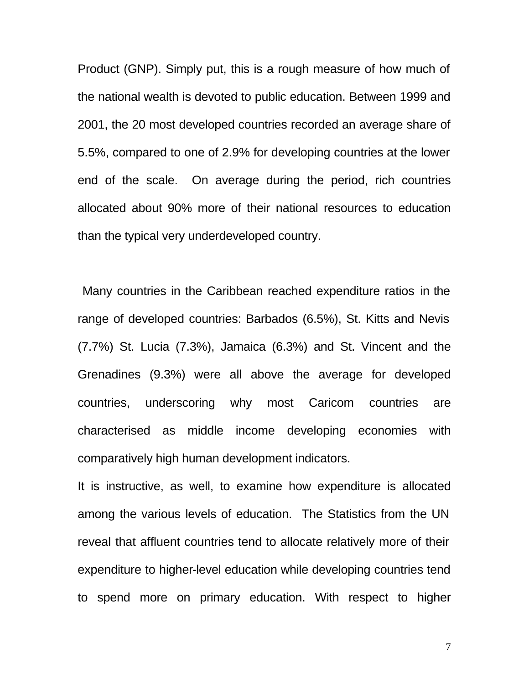Product (GNP). Simply put, this is a rough measure of how much of the national wealth is devoted to public education. Between 1999 and 2001, the 20 most developed countries recorded an average share of 5.5%, compared to one of 2.9% for developing countries at the lower end of the scale. On average during the period, rich countries allocated about 90% more of their national resources to education than the typical very underdeveloped country.

 Many countries in the Caribbean reached expenditure ratios in the range of developed countries: Barbados (6.5%), St. Kitts and Nevis (7.7%) St. Lucia (7.3%), Jamaica (6.3%) and St. Vincent and the Grenadines (9.3%) were all above the average for developed countries, underscoring why most Caricom countries are characterised as middle income developing economies with comparatively high human development indicators.

It is instructive, as well, to examine how expenditure is allocated among the various levels of education. The Statistics from the UN reveal that affluent countries tend to allocate relatively more of their expenditure to higher-level education while developing countries tend to spend more on primary education. With respect to higher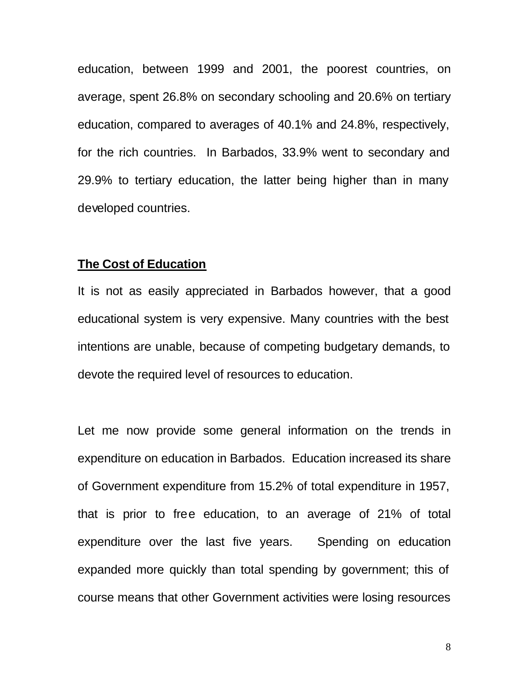education, between 1999 and 2001, the poorest countries, on average, spent 26.8% on secondary schooling and 20.6% on tertiary education, compared to averages of 40.1% and 24.8%, respectively, for the rich countries. In Barbados, 33.9% went to secondary and 29.9% to tertiary education, the latter being higher than in many developed countries.

#### **The Cost of Education**

It is not as easily appreciated in Barbados however, that a good educational system is very expensive. Many countries with the best intentions are unable, because of competing budgetary demands, to devote the required level of resources to education.

Let me now provide some general information on the trends in expenditure on education in Barbados. Education increased its share of Government expenditure from 15.2% of total expenditure in 1957, that is prior to free education, to an average of 21% of total expenditure over the last five years. Spending on education expanded more quickly than total spending by government; this of course means that other Government activities were losing resources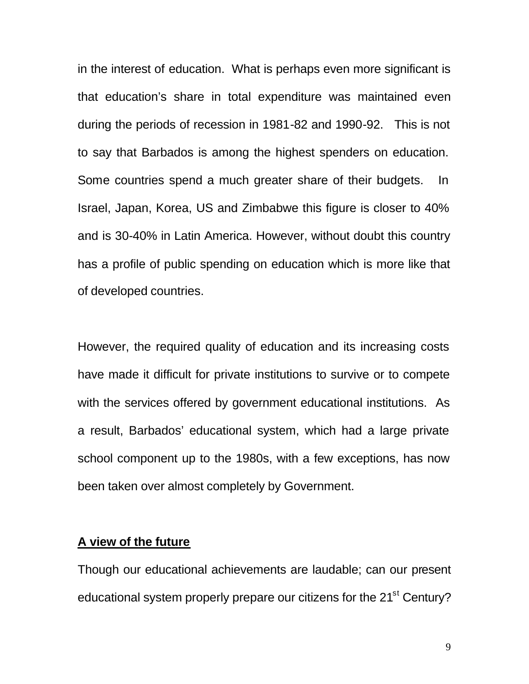in the interest of education. What is perhaps even more significant is that education's share in total expenditure was maintained even during the periods of recession in 1981-82 and 1990-92. This is not to say that Barbados is among the highest spenders on education. Some countries spend a much greater share of their budgets. In Israel, Japan, Korea, US and Zimbabwe this figure is closer to 40% and is 30-40% in Latin America. However, without doubt this country has a profile of public spending on education which is more like that of developed countries.

However, the required quality of education and its increasing costs have made it difficult for private institutions to survive or to compete with the services offered by government educational institutions. As a result, Barbados' educational system, which had a large private school component up to the 1980s, with a few exceptions, has now been taken over almost completely by Government.

## **A view of the future**

Though our educational achievements are laudable; can our present educational system properly prepare our citizens for the 21<sup>st</sup> Century?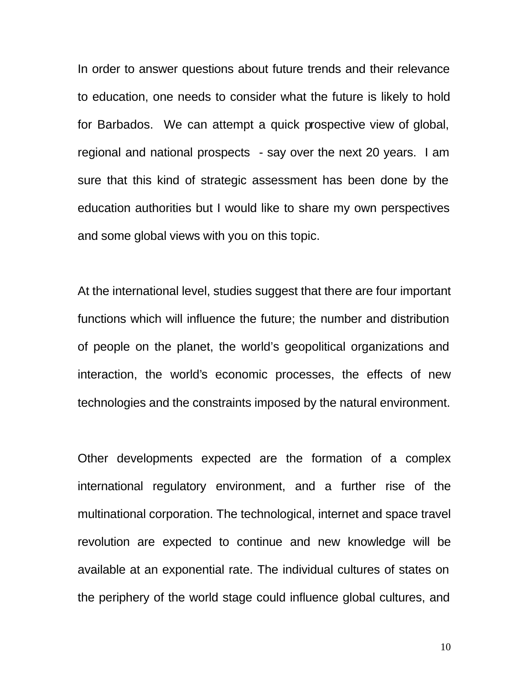In order to answer questions about future trends and their relevance to education, one needs to consider what the future is likely to hold for Barbados. We can attempt a quick prospective view of global, regional and national prospects - say over the next 20 years. I am sure that this kind of strategic assessment has been done by the education authorities but I would like to share my own perspectives and some global views with you on this topic.

At the international level, studies suggest that there are four important functions which will influence the future; the number and distribution of people on the planet, the world's geopolitical organizations and interaction, the world's economic processes, the effects of new technologies and the constraints imposed by the natural environment.

Other developments expected are the formation of a complex international regulatory environment, and a further rise of the multinational corporation. The technological, internet and space travel revolution are expected to continue and new knowledge will be available at an exponential rate. The individual cultures of states on the periphery of the world stage could influence global cultures, and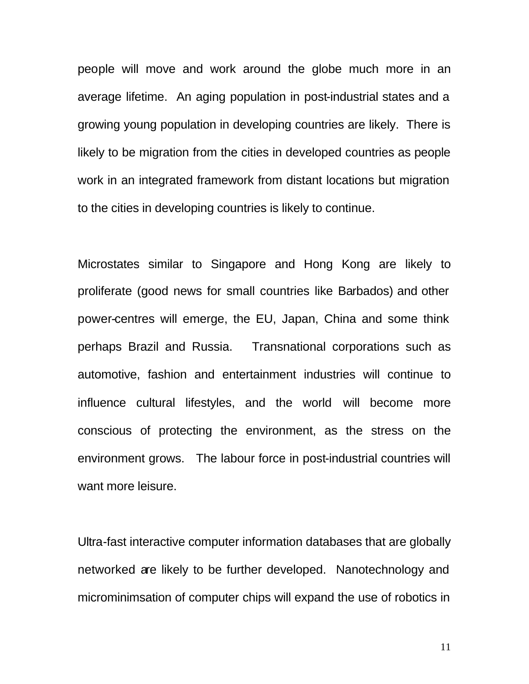people will move and work around the globe much more in an average lifetime. An aging population in post-industrial states and a growing young population in developing countries are likely. There is likely to be migration from the cities in developed countries as people work in an integrated framework from distant locations but migration to the cities in developing countries is likely to continue.

Microstates similar to Singapore and Hong Kong are likely to proliferate (good news for small countries like Barbados) and other power-centres will emerge, the EU, Japan, China and some think perhaps Brazil and Russia. Transnational corporations such as automotive, fashion and entertainment industries will continue to influence cultural lifestyles, and the world will become more conscious of protecting the environment, as the stress on the environment grows. The labour force in post-industrial countries will want more leisure.

Ultra-fast interactive computer information databases that are globally networked are likely to be further developed. Nanotechnology and microminimsation of computer chips will expand the use of robotics in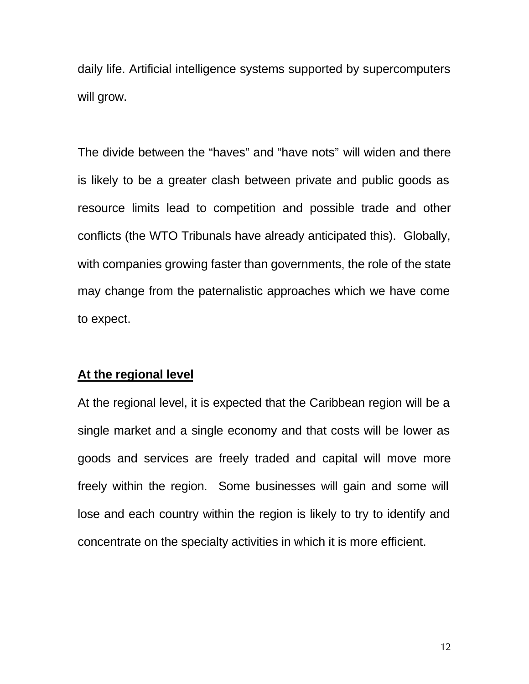daily life. Artificial intelligence systems supported by supercomputers will grow.

The divide between the "haves" and "have nots" will widen and there is likely to be a greater clash between private and public goods as resource limits lead to competition and possible trade and other conflicts (the WTO Tribunals have already anticipated this). Globally, with companies growing faster than governments, the role of the state may change from the paternalistic approaches which we have come to expect.

# **At the regional level**

At the regional level, it is expected that the Caribbean region will be a single market and a single economy and that costs will be lower as goods and services are freely traded and capital will move more freely within the region. Some businesses will gain and some will lose and each country within the region is likely to try to identify and concentrate on the specialty activities in which it is more efficient.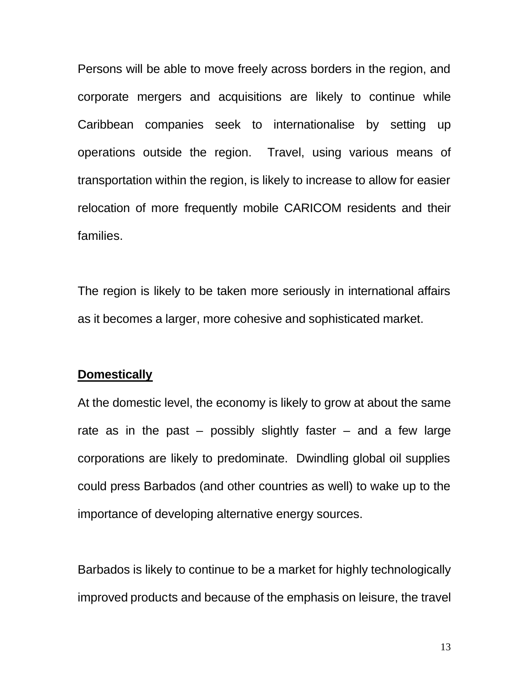Persons will be able to move freely across borders in the region, and corporate mergers and acquisitions are likely to continue while Caribbean companies seek to internationalise by setting up operations outside the region. Travel, using various means of transportation within the region, is likely to increase to allow for easier relocation of more frequently mobile CARICOM residents and their families.

The region is likely to be taken more seriously in international affairs as it becomes a larger, more cohesive and sophisticated market.

#### **Domestically**

At the domestic level, the economy is likely to grow at about the same rate as in the past – possibly slightly faster – and a few large corporations are likely to predominate. Dwindling global oil supplies could press Barbados (and other countries as well) to wake up to the importance of developing alternative energy sources.

Barbados is likely to continue to be a market for highly technologically improved products and because of the emphasis on leisure, the travel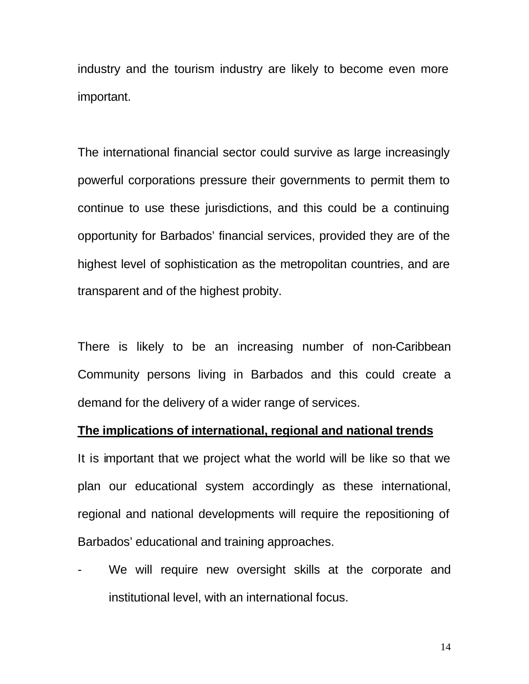industry and the tourism industry are likely to become even more important.

The international financial sector could survive as large increasingly powerful corporations pressure their governments to permit them to continue to use these jurisdictions, and this could be a continuing opportunity for Barbados' financial services, provided they are of the highest level of sophistication as the metropolitan countries, and are transparent and of the highest probity.

There is likely to be an increasing number of non-Caribbean Community persons living in Barbados and this could create a demand for the delivery of a wider range of services.

#### **The implications of international, regional and national trends**

It is important that we project what the world will be like so that we plan our educational system accordingly as these international, regional and national developments will require the repositioning of Barbados' educational and training approaches.

We will require new oversight skills at the corporate and institutional level, with an international focus.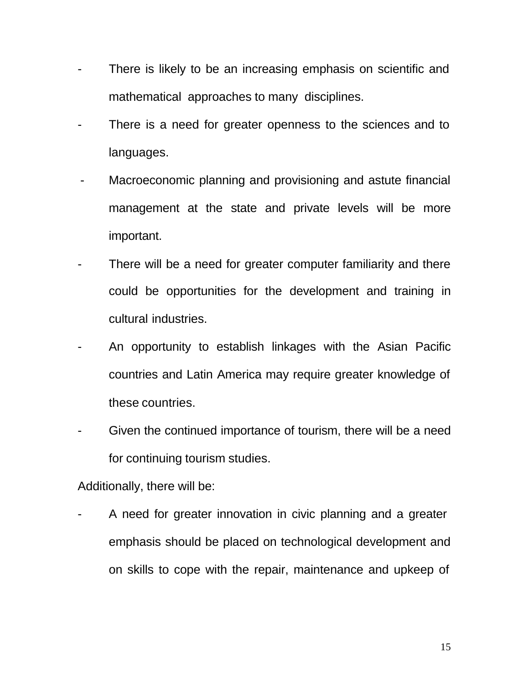- There is likely to be an increasing emphasis on scientific and mathematical approaches to many disciplines.
- There is a need for greater openness to the sciences and to languages.
- Macroeconomic planning and provisioning and astute financial management at the state and private levels will be more important.
- There will be a need for greater computer familiarity and there could be opportunities for the development and training in cultural industries.
- An opportunity to establish linkages with the Asian Pacific countries and Latin America may require greater knowledge of these countries.
- Given the continued importance of tourism, there will be a need for continuing tourism studies.

Additionally, there will be:

A need for greater innovation in civic planning and a greater emphasis should be placed on technological development and on skills to cope with the repair, maintenance and upkeep of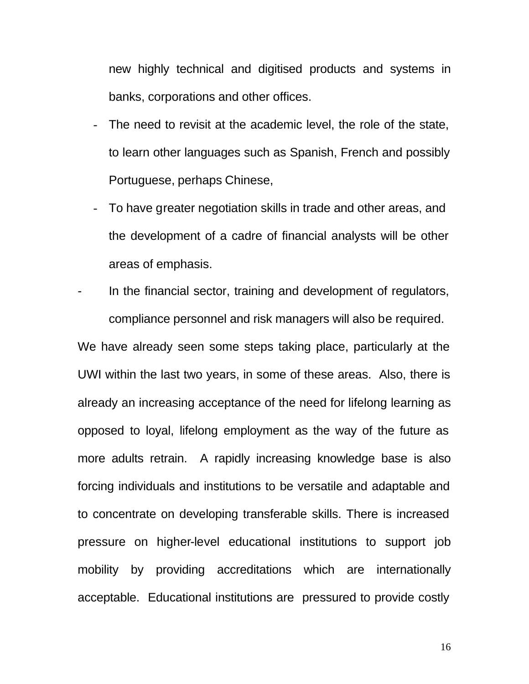new highly technical and digitised products and systems in banks, corporations and other offices.

- The need to revisit at the academic level, the role of the state, to learn other languages such as Spanish, French and possibly Portuguese, perhaps Chinese,
- To have greater negotiation skills in trade and other areas, and the development of a cadre of financial analysts will be other areas of emphasis.
- In the financial sector, training and development of regulators, compliance personnel and risk managers will also be required.

We have already seen some steps taking place, particularly at the UWI within the last two years, in some of these areas. Also, there is already an increasing acceptance of the need for lifelong learning as opposed to loyal, lifelong employment as the way of the future as more adults retrain. A rapidly increasing knowledge base is also forcing individuals and institutions to be versatile and adaptable and to concentrate on developing transferable skills. There is increased pressure on higher-level educational institutions to support job mobility by providing accreditations which are internationally acceptable. Educational institutions are pressured to provide costly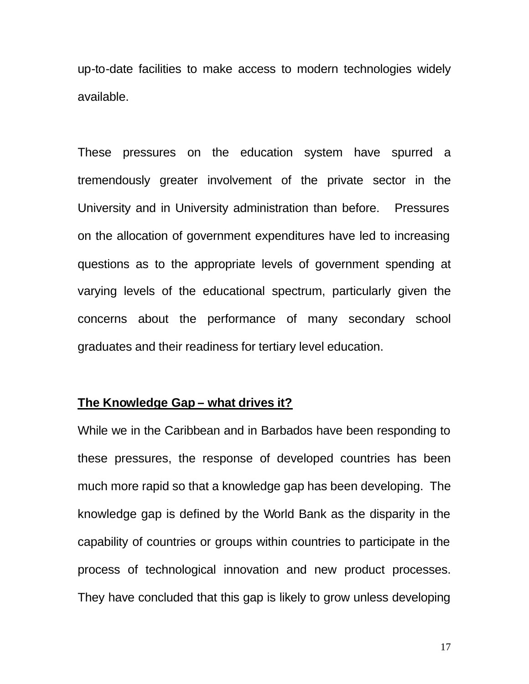up-to-date facilities to make access to modern technologies widely available.

These pressures on the education system have spurred a tremendously greater involvement of the private sector in the University and in University administration than before. Pressures on the allocation of government expenditures have led to increasing questions as to the appropriate levels of government spending at varying levels of the educational spectrum, particularly given the concerns about the performance of many secondary school graduates and their readiness for tertiary level education.

### **The Knowledge Gap – what drives it?**

While we in the Caribbean and in Barbados have been responding to these pressures, the response of developed countries has been much more rapid so that a knowledge gap has been developing. The knowledge gap is defined by the World Bank as the disparity in the capability of countries or groups within countries to participate in the process of technological innovation and new product processes. They have concluded that this gap is likely to grow unless developing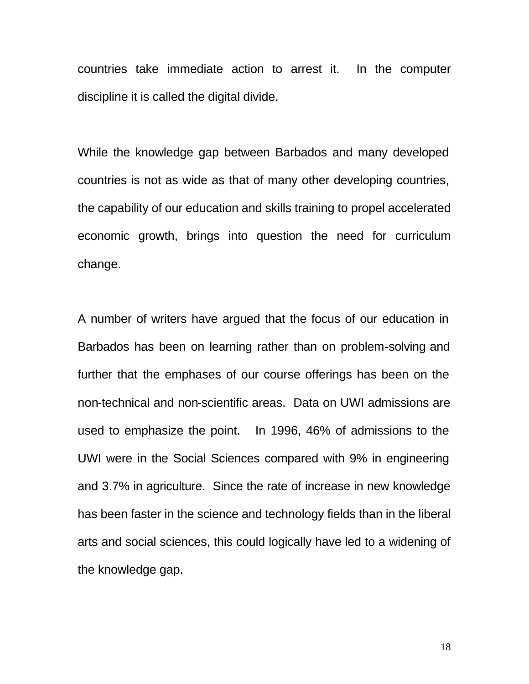countries take immediate action to arrest it. In the computer discipline it is called the digital divide.

While the knowledge gap between Barbados and many developed countries is not as wide as that of many other developing countries, the capability of our education and skills training to propel accelerated economic growth, brings into question the need for curriculum change.

A number of writers have argued that the focus of our education in Barbados has been on learning rather than on problem-solving and further that the emphases of our course offerings has been on the non-technical and non-scientific areas. Data on UWI admissions are used to emphasize the point. In 1996, 46% of admissions to the UWI were in the Social Sciences compared with 9% in engineering and 3.7% in agriculture. Since the rate of increase in new knowledge has been faster in the science and technology fields than in the liberal arts and social sciences, this could logically have led to a widening of the knowledge gap.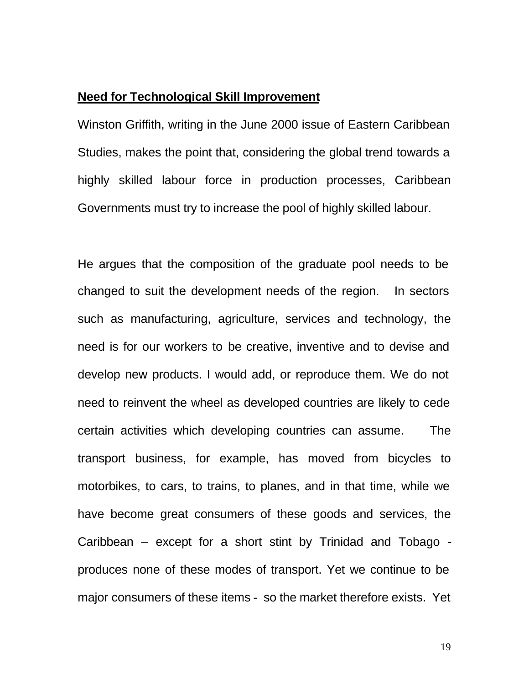# **Need for Technological Skill Improvement**

Winston Griffith, writing in the June 2000 issue of Eastern Caribbean Studies, makes the point that, considering the global trend towards a highly skilled labour force in production processes, Caribbean Governments must try to increase the pool of highly skilled labour.

He argues that the composition of the graduate pool needs to be changed to suit the development needs of the region. In sectors such as manufacturing, agriculture, services and technology, the need is for our workers to be creative, inventive and to devise and develop new products. I would add, or reproduce them. We do not need to reinvent the wheel as developed countries are likely to cede certain activities which developing countries can assume. The transport business, for example, has moved from bicycles to motorbikes, to cars, to trains, to planes, and in that time, while we have become great consumers of these goods and services, the Caribbean – except for a short stint by Trinidad and Tobago produces none of these modes of transport. Yet we continue to be major consumers of these items - so the market therefore exists. Yet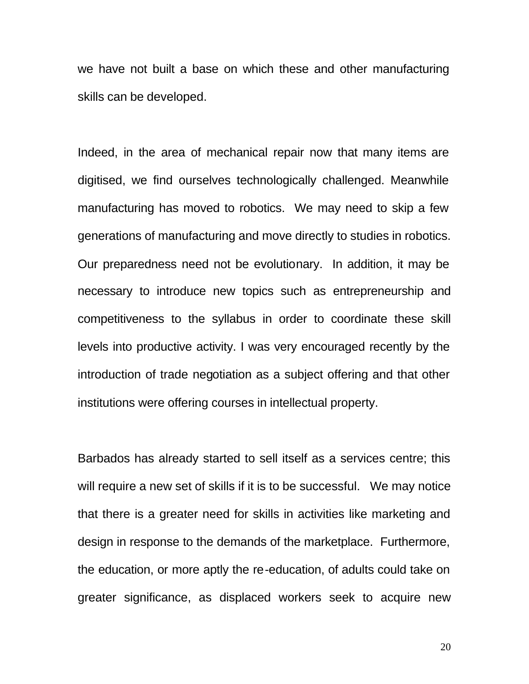we have not built a base on which these and other manufacturing skills can be developed.

Indeed, in the area of mechanical repair now that many items are digitised, we find ourselves technologically challenged. Meanwhile manufacturing has moved to robotics. We may need to skip a few generations of manufacturing and move directly to studies in robotics. Our preparedness need not be evolutionary. In addition, it may be necessary to introduce new topics such as entrepreneurship and competitiveness to the syllabus in order to coordinate these skill levels into productive activity. I was very encouraged recently by the introduction of trade negotiation as a subject offering and that other institutions were offering courses in intellectual property.

Barbados has already started to sell itself as a services centre; this will require a new set of skills if it is to be successful. We may notice that there is a greater need for skills in activities like marketing and design in response to the demands of the marketplace. Furthermore, the education, or more aptly the re-education, of adults could take on greater significance, as displaced workers seek to acquire new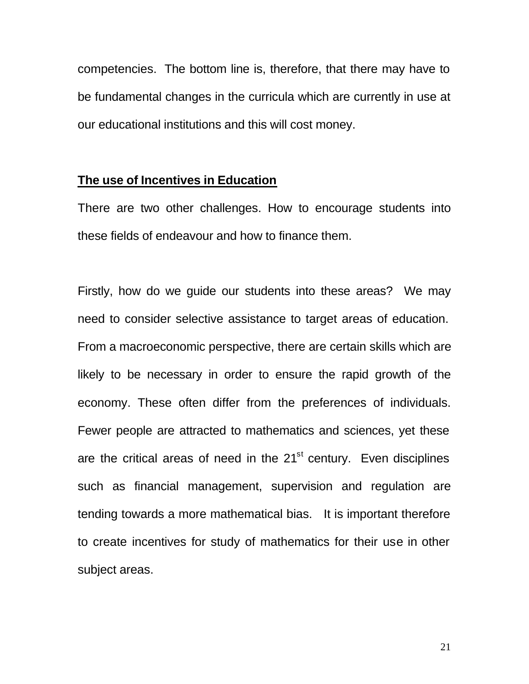competencies.The bottom line is, therefore, that there may have to be fundamental changes in the curricula which are currently in use at our educational institutions and this will cost money.

# **The use of Incentives in Education**

There are two other challenges. How to encourage students into these fields of endeavour and how to finance them.

Firstly, how do we guide our students into these areas? We may need to consider selective assistance to target areas of education. From a macroeconomic perspective, there are certain skills which are likely to be necessary in order to ensure the rapid growth of the economy. These often differ from the preferences of individuals. Fewer people are attracted to mathematics and sciences, yet these are the critical areas of need in the  $21<sup>st</sup>$  century. Even disciplines such as financial management, supervision and regulation are tending towards a more mathematical bias. It is important therefore to create incentives for study of mathematics for their use in other subject areas.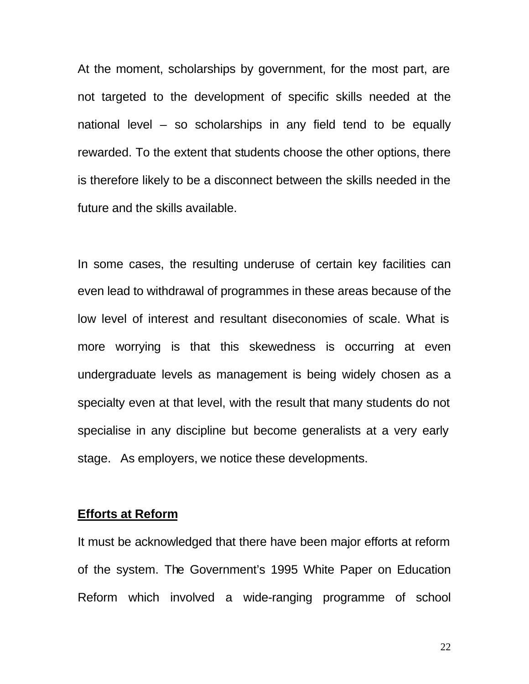At the moment, scholarships by government, for the most part, are not targeted to the development of specific skills needed at the national level – so scholarships in any field tend to be equally rewarded. To the extent that students choose the other options, there is therefore likely to be a disconnect between the skills needed in the future and the skills available.

In some cases, the resulting underuse of certain key facilities can even lead to withdrawal of programmes in these areas because of the low level of interest and resultant diseconomies of scale. What is more worrying is that this skewedness is occurring at even undergraduate levels as management is being widely chosen as a specialty even at that level, with the result that many students do not specialise in any discipline but become generalists at a very early stage. As employers, we notice these developments.

#### **Efforts at Reform**

It must be acknowledged that there have been major efforts at reform of the system. The Government's 1995 White Paper on Education Reform which involved a wide-ranging programme of school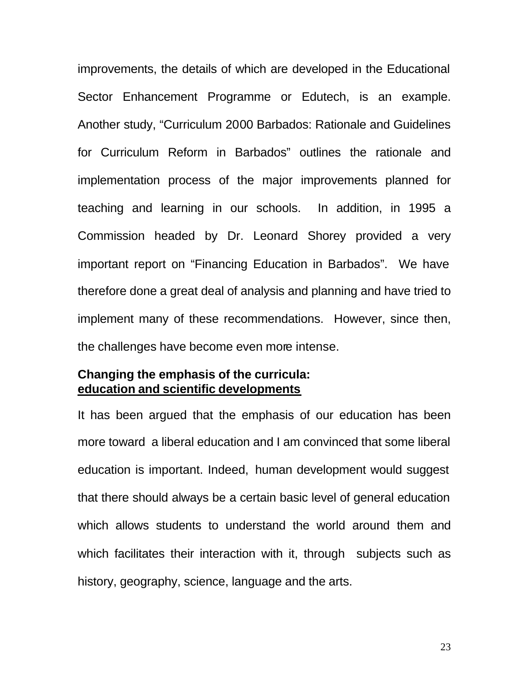improvements, the details of which are developed in the Educational Sector Enhancement Programme or Edutech, is an example. Another study, "Curriculum 2000 Barbados: Rationale and Guidelines for Curriculum Reform in Barbados" outlines the rationale and implementation process of the major improvements planned for teaching and learning in our schools. In addition, in 1995 a Commission headed by Dr. Leonard Shorey provided a very important report on "Financing Education in Barbados". We have therefore done a great deal of analysis and planning and have tried to implement many of these recommendations. However, since then, the challenges have become even more intense.

# **Changing the emphasis of the curricula: education and scientific developments**

It has been argued that the emphasis of our education has been more toward a liberal education and I am convinced that some liberal education is important. Indeed, human development would suggest that there should always be a certain basic level of general education which allows students to understand the world around them and which facilitates their interaction with it, through subjects such as history, geography, science, language and the arts.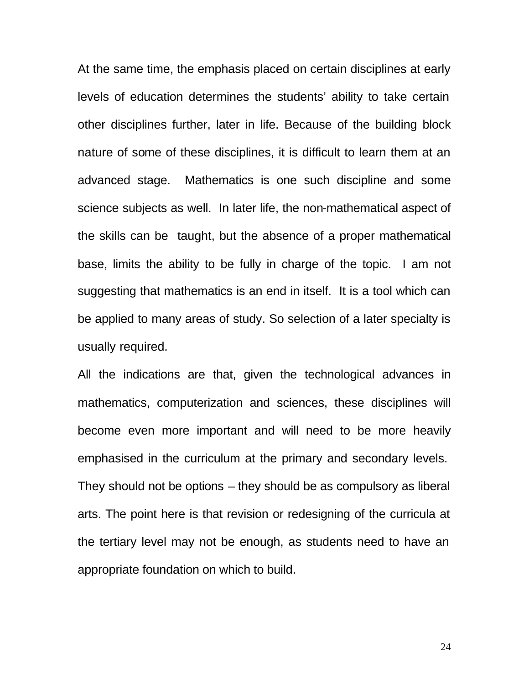At the same time, the emphasis placed on certain disciplines at early levels of education determines the students' ability to take certain other disciplines further, later in life. Because of the building block nature of some of these disciplines, it is difficult to learn them at an advanced stage. Mathematics is one such discipline and some science subjects as well. In later life, the non-mathematical aspect of the skills can be taught, but the absence of a proper mathematical base, limits the ability to be fully in charge of the topic. I am not suggesting that mathematics is an end in itself. It is a tool which can be applied to many areas of study. So selection of a later specialty is usually required.

All the indications are that, given the technological advances in mathematics, computerization and sciences, these disciplines will become even more important and will need to be more heavily emphasised in the curriculum at the primary and secondary levels. They should not be options – they should be as compulsory as liberal arts. The point here is that revision or redesigning of the curricula at the tertiary level may not be enough, as students need to have an appropriate foundation on which to build.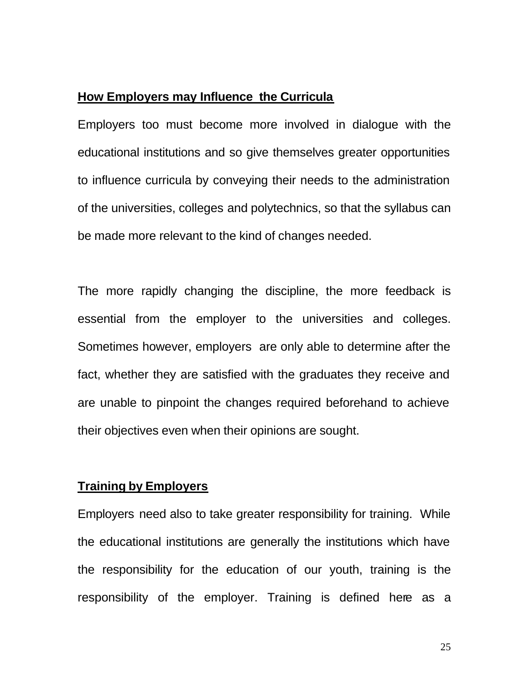# **How Employers may Influence the Curricula**

Employers too must become more involved in dialogue with the educational institutions and so give themselves greater opportunities to influence curricula by conveying their needs to the administration of the universities, colleges and polytechnics, so that the syllabus can be made more relevant to the kind of changes needed.

The more rapidly changing the discipline, the more feedback is essential from the employer to the universities and colleges. Sometimes however, employers are only able to determine after the fact, whether they are satisfied with the graduates they receive and are unable to pinpoint the changes required beforehand to achieve their objectives even when their opinions are sought.

# **Training by Employers**

Employers need also to take greater responsibility for training. While the educational institutions are generally the institutions which have the responsibility for the education of our youth, training is the responsibility of the employer. Training is defined here as a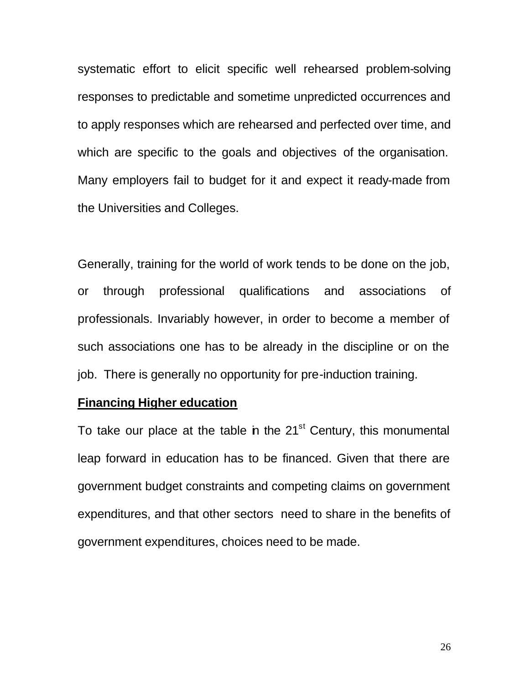systematic effort to elicit specific well rehearsed problem-solving responses to predictable and sometime unpredicted occurrences and to apply responses which are rehearsed and perfected over time, and which are specific to the goals and objectives of the organisation. Many employers fail to budget for it and expect it ready-made from the Universities and Colleges.

Generally, training for the world of work tends to be done on the job, or through professional qualifications and associations of professionals. Invariably however, in order to become a member of such associations one has to be already in the discipline or on the job. There is generally no opportunity for pre-induction training.

# **Financing Higher education**

To take our place at the table in the  $21<sup>st</sup>$  Century, this monumental leap forward in education has to be financed. Given that there are government budget constraints and competing claims on government expenditures, and that other sectors need to share in the benefits of government expenditures, choices need to be made.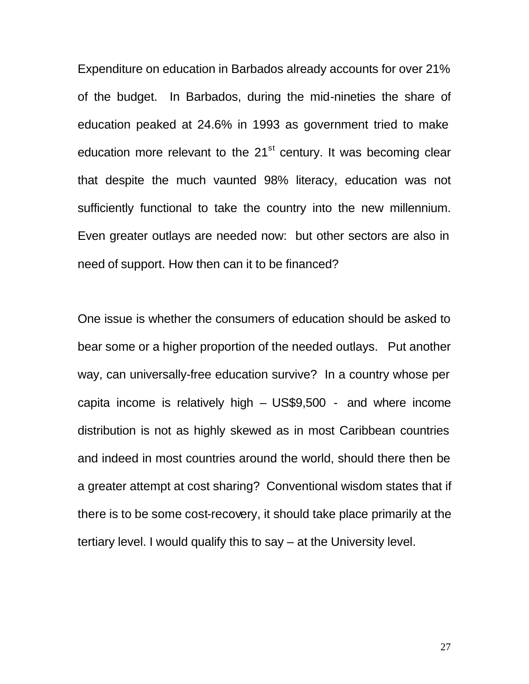Expenditure on education in Barbados already accounts for over 21% of the budget. In Barbados, during the mid-nineties the share of education peaked at 24.6% in 1993 as government tried to make education more relevant to the  $21<sup>st</sup>$  century. It was becoming clear that despite the much vaunted 98% literacy, education was not sufficiently functional to take the country into the new millennium. Even greater outlays are needed now: but other sectors are also in need of support. How then can it to be financed?

One issue is whether the consumers of education should be asked to bear some or a higher proportion of the needed outlays. Put another way, can universally-free education survive? In a country whose per capita income is relatively high – US\$9,500 - and where income distribution is not as highly skewed as in most Caribbean countries and indeed in most countries around the world, should there then be a greater attempt at cost sharing? Conventional wisdom states that if there is to be some cost-recovery, it should take place primarily at the tertiary level. I would qualify this to say – at the University level.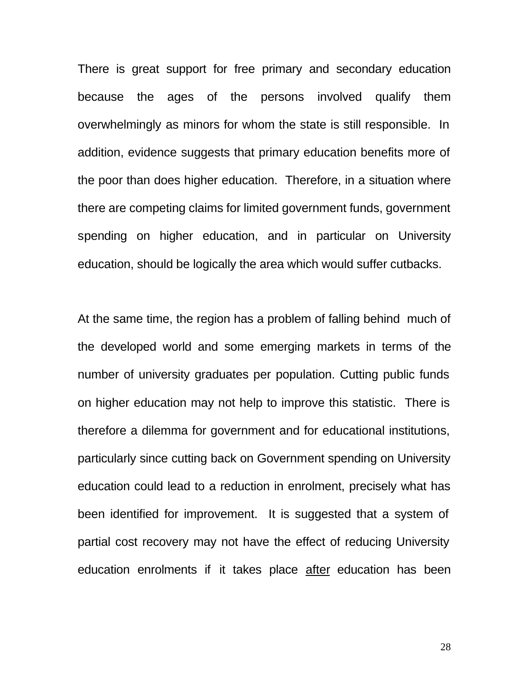There is great support for free primary and secondary education because the ages of the persons involved qualify them overwhelmingly as minors for whom the state is still responsible. In addition, evidence suggests that primary education benefits more of the poor than does higher education. Therefore, in a situation where there are competing claims for limited government funds, government spending on higher education, and in particular on University education, should be logically the area which would suffer cutbacks.

At the same time, the region has a problem of falling behind much of the developed world and some emerging markets in terms of the number of university graduates per population. Cutting public funds on higher education may not help to improve this statistic. There is therefore a dilemma for government and for educational institutions, particularly since cutting back on Government spending on University education could lead to a reduction in enrolment, precisely what has been identified for improvement. It is suggested that a system of partial cost recovery may not have the effect of reducing University education enrolments if it takes place after education has been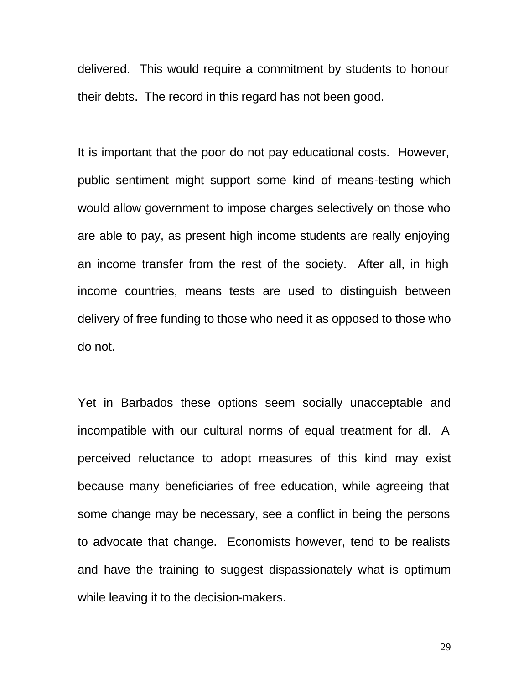delivered. This would require a commitment by students to honour their debts. The record in this regard has not been good.

It is important that the poor do not pay educational costs. However, public sentiment might support some kind of means-testing which would allow government to impose charges selectively on those who are able to pay, as present high income students are really enjoying an income transfer from the rest of the society. After all, in high income countries, means tests are used to distinguish between delivery of free funding to those who need it as opposed to those who do not.

Yet in Barbados these options seem socially unacceptable and incompatible with our cultural norms of equal treatment for all. A perceived reluctance to adopt measures of this kind may exist because many beneficiaries of free education, while agreeing that some change may be necessary, see a conflict in being the persons to advocate that change. Economists however, tend to be realists and have the training to suggest dispassionately what is optimum while leaving it to the decision-makers.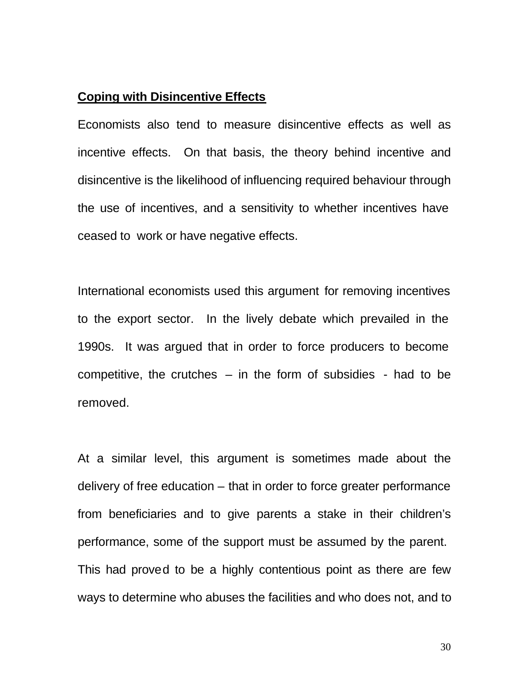# **Coping with Disincentive Effects**

Economists also tend to measure disincentive effects as well as incentive effects. On that basis, the theory behind incentive and disincentive is the likelihood of influencing required behaviour through the use of incentives, and a sensitivity to whether incentives have ceased to work or have negative effects.

International economists used this argument for removing incentives to the export sector. In the lively debate which prevailed in the 1990s. It was argued that in order to force producers to become competitive, the crutches  $-$  in the form of subsidies  $-$  had to be removed.

At a similar level, this argument is sometimes made about the delivery of free education – that in order to force greater performance from beneficiaries and to give parents a stake in their children's performance, some of the support must be assumed by the parent. This had proved to be a highly contentious point as there are few ways to determine who abuses the facilities and who does not, and to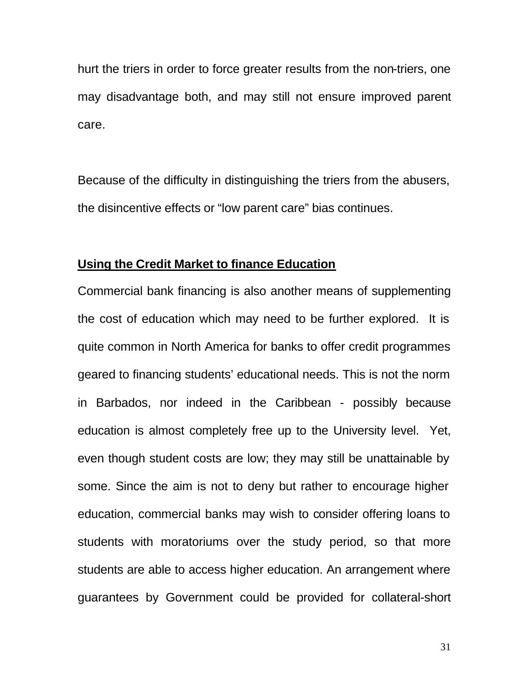hurt the triers in order to force greater results from the non-triers, one may disadvantage both, and may still not ensure improved parent care.

Because of the difficulty in distinguishing the triers from the abusers, the disincentive effects or "low parent care" bias continues.

## **Using the Credit Market to finance Education**

Commercial bank financing is also another means of supplementing the cost of education which may need to be further explored. It is quite common in North America for banks to offer credit programmes geared to financing students' educational needs. This is not the norm in Barbados, nor indeed in the Caribbean - possibly because education is almost completely free up to the University level. Yet, even though student costs are low; they may still be unattainable by some. Since the aim is not to deny but rather to encourage higher education, commercial banks may wish to consider offering loans to students with moratoriums over the study period, so that more students are able to access higher education. An arrangement where guarantees by Government could be provided for collateral-short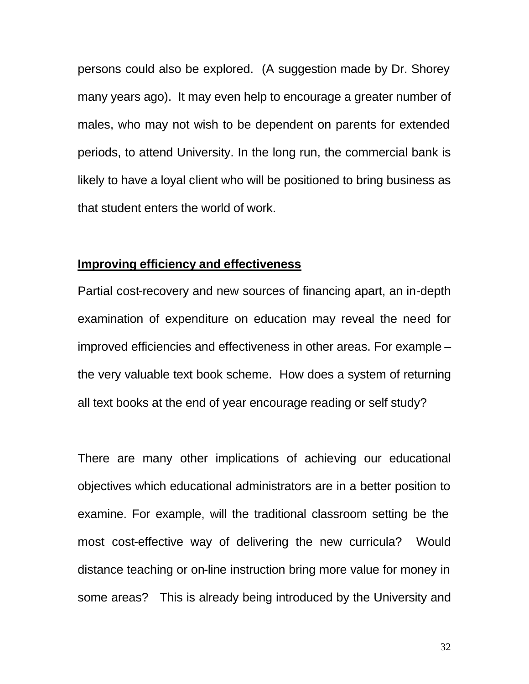persons could also be explored. (A suggestion made by Dr. Shorey many years ago). It may even help to encourage a greater number of males, who may not wish to be dependent on parents for extended periods, to attend University. In the long run, the commercial bank is likely to have a loyal client who will be positioned to bring business as that student enters the world of work.

## **Improving efficiency and effectiveness**

Partial cost-recovery and new sources of financing apart, an in-depth examination of expenditure on education may reveal the need for improved efficiencies and effectiveness in other areas. For example – the very valuable text book scheme. How does a system of returning all text books at the end of year encourage reading or self study?

There are many other implications of achieving our educational objectives which educational administrators are in a better position to examine. For example, will the traditional classroom setting be the most cost-effective way of delivering the new curricula? Would distance teaching or on-line instruction bring more value for money in some areas? This is already being introduced by the University and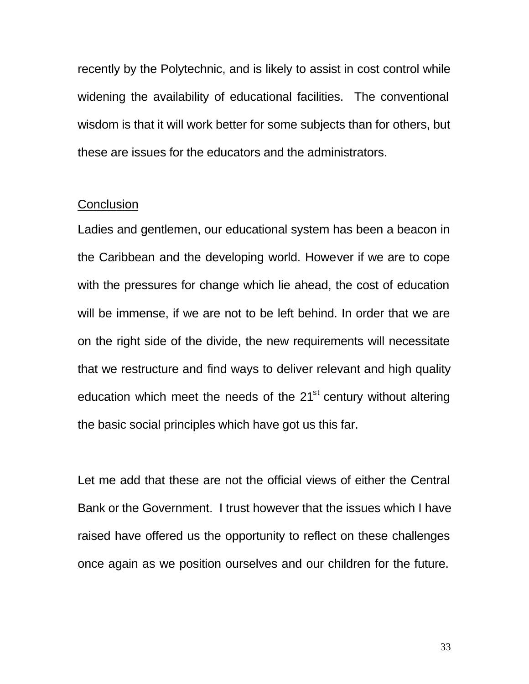recently by the Polytechnic, and is likely to assist in cost control while widening the availability of educational facilities. The conventional wisdom is that it will work better for some subjects than for others, but these are issues for the educators and the administrators.

# **Conclusion**

Ladies and gentlemen, our educational system has been a beacon in the Caribbean and the developing world. However if we are to cope with the pressures for change which lie ahead, the cost of education will be immense, if we are not to be left behind. In order that we are on the right side of the divide, the new requirements will necessitate that we restructure and find ways to deliver relevant and high quality education which meet the needs of the  $21<sup>st</sup>$  century without altering the basic social principles which have got us this far.

Let me add that these are not the official views of either the Central Bank or the Government. I trust however that the issues which I have raised have offered us the opportunity to reflect on these challenges once again as we position ourselves and our children for the future.